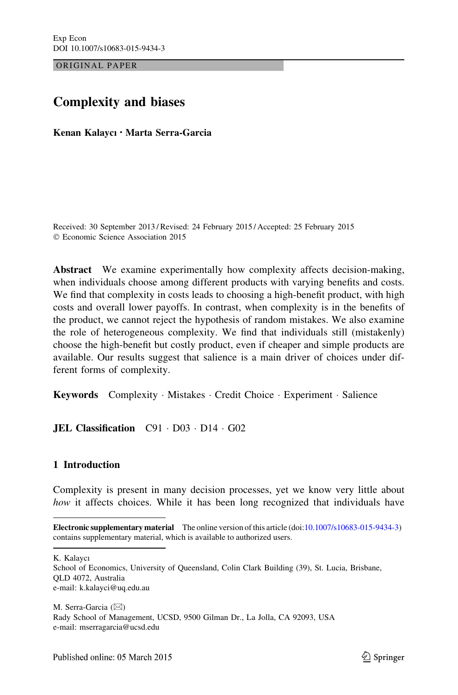ORIGINAL PAPER

# Complexity and biases

Kenan Kalaycı • Marta Serra-Garcia

Received: 30 September 2013 / Revised: 24 February 2015 / Accepted: 25 February 2015 © Economic Science Association 2015

Abstract We examine experimentally how complexity affects decision-making, when individuals choose among different products with varying benefits and costs. We find that complexity in costs leads to choosing a high-benefit product, with high costs and overall lower payoffs. In contrast, when complexity is in the benefits of the product, we cannot reject the hypothesis of random mistakes. We also examine the role of heterogeneous complexity. We find that individuals still (mistakenly) choose the high-benefit but costly product, even if cheaper and simple products are available. Our results suggest that salience is a main driver of choices under different forms of complexity.

Keywords Complexity · Mistakes · Credit Choice · Experiment · Salience

**JEL Classification**  $C91 \cdot D03 \cdot D14 \cdot G02$ 

## 1 Introduction

Complexity is present in many decision processes, yet we know very little about how it affects choices. While it has been long recognized that individuals have

K. Kalaycı

School of Economics, University of Queensland, Colin Clark Building (39), St. Lucia, Brisbane, QLD 4072, Australia e-mail: k.kalayci@uq.edu.au

M. Serra-Garcia ( $\boxtimes$ ) Rady School of Management, UCSD, 9500 Gilman Dr., La Jolla, CA 92093, USA e-mail: mserragarcia@ucsd.edu

Electronic supplementary material The online version of this article (doi[:10.1007/s10683-015-9434-3\)](http://dx.doi.org/10.1007/s10683-015-9434-3) contains supplementary material, which is available to authorized users.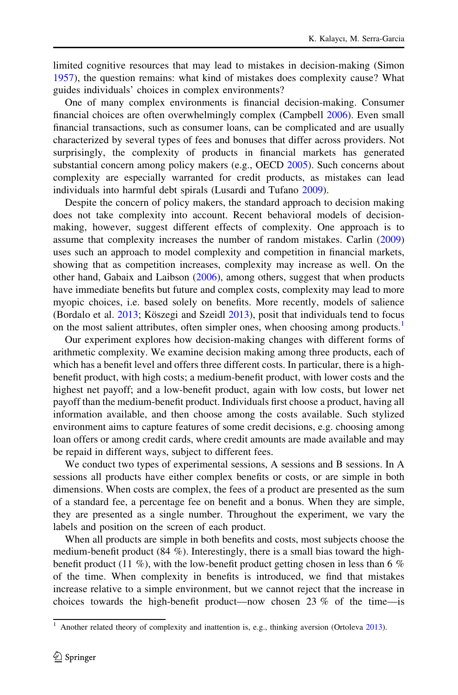limited cognitive resources that may lead to mistakes in decision-making (Simon [1957\)](#page-19-0), the question remains: what kind of mistakes does complexity cause? What guides individuals' choices in complex environments?

One of many complex environments is financial decision-making. Consumer financial choices are often overwhelmingly complex (Campbell [2006\)](#page-18-0). Even small financial transactions, such as consumer loans, can be complicated and are usually characterized by several types of fees and bonuses that differ across providers. Not surprisingly, the complexity of products in financial markets has generated substantial concern among policy makers (e.g., OECD [2005\)](#page-19-0). Such concerns about complexity are especially warranted for credit products, as mistakes can lead individuals into harmful debt spirals (Lusardi and Tufano [2009\)](#page-19-0).

Despite the concern of policy makers, the standard approach to decision making does not take complexity into account. Recent behavioral models of decisionmaking, however, suggest different effects of complexity. One approach is to assume that complexity increases the number of random mistakes. Carlin [\(2009](#page-18-0)) uses such an approach to model complexity and competition in financial markets, showing that as competition increases, complexity may increase as well. On the other hand, Gabaix and Laibson [\(2006](#page-18-0)), among others, suggest that when products have immediate benefits but future and complex costs, complexity may lead to more myopic choices, i.e. based solely on benefits. More recently, models of salience (Bordalo et al.  $2013$ ; Köszegi and Szeidl  $2013$ ), posit that individuals tend to focus on the most salient attributes, often simpler ones, when choosing among products.<sup>1</sup>

Our experiment explores how decision-making changes with different forms of arithmetic complexity. We examine decision making among three products, each of which has a benefit level and offers three different costs. In particular, there is a highbenefit product, with high costs; a medium-benefit product, with lower costs and the highest net payoff; and a low-benefit product, again with low costs, but lower net payoff than the medium-benefit product. Individuals first choose a product, having all information available, and then choose among the costs available. Such stylized environment aims to capture features of some credit decisions, e.g. choosing among loan offers or among credit cards, where credit amounts are made available and may be repaid in different ways, subject to different fees.

We conduct two types of experimental sessions, A sessions and B sessions. In A sessions all products have either complex benefits or costs, or are simple in both dimensions. When costs are complex, the fees of a product are presented as the sum of a standard fee, a percentage fee on benefit and a bonus. When they are simple, they are presented as a single number. Throughout the experiment, we vary the labels and position on the screen of each product.

When all products are simple in both benefits and costs, most subjects choose the medium-benefit product (84 %). Interestingly, there is a small bias toward the highbenefit product (11 %), with the low-benefit product getting chosen in less than 6 % of the time. When complexity in benefits is introduced, we find that mistakes increase relative to a simple environment, but we cannot reject that the increase in choices towards the high-benefit product—now chosen  $23\%$  of the time—is

<sup>&</sup>lt;sup>1</sup> Another related theory of complexity and inattention is, e.g., thinking aversion (Ortoleva [2013](#page-19-0)).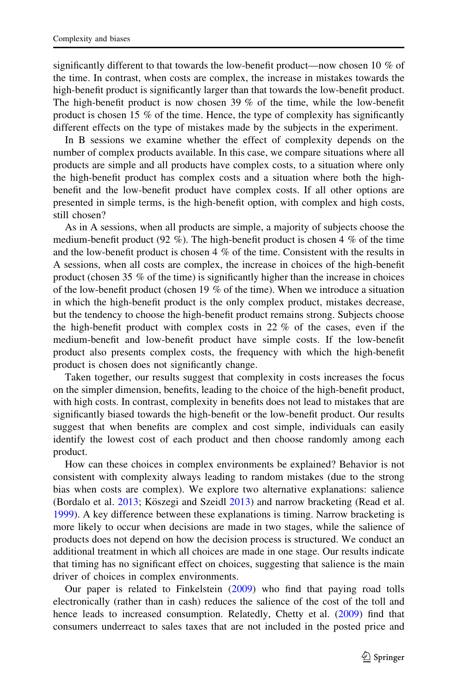significantly different to that towards the low-benefit product—now chosen 10 % of the time. In contrast, when costs are complex, the increase in mistakes towards the high-benefit product is significantly larger than that towards the low-benefit product. The high-benefit product is now chosen 39 % of the time, while the low-benefit product is chosen 15 % of the time. Hence, the type of complexity has significantly different effects on the type of mistakes made by the subjects in the experiment.

In B sessions we examine whether the effect of complexity depends on the number of complex products available. In this case, we compare situations where all products are simple and all products have complex costs, to a situation where only the high-benefit product has complex costs and a situation where both the highbenefit and the low-benefit product have complex costs. If all other options are presented in simple terms, is the high-benefit option, with complex and high costs, still chosen?

As in A sessions, when all products are simple, a majority of subjects choose the medium-benefit product (92 %). The high-benefit product is chosen 4 % of the time and the low-benefit product is chosen  $4\%$  of the time. Consistent with the results in A sessions, when all costs are complex, the increase in choices of the high-benefit product (chosen 35 % of the time) is significantly higher than the increase in choices of the low-benefit product (chosen 19 % of the time). When we introduce a situation in which the high-benefit product is the only complex product, mistakes decrease, but the tendency to choose the high-benefit product remains strong. Subjects choose the high-benefit product with complex costs in 22 % of the cases, even if the medium-benefit and low-benefit product have simple costs. If the low-benefit product also presents complex costs, the frequency with which the high-benefit product is chosen does not significantly change.

Taken together, our results suggest that complexity in costs increases the focus on the simpler dimension, benefits, leading to the choice of the high-benefit product, with high costs. In contrast, complexity in benefits does not lead to mistakes that are significantly biased towards the high-benefit or the low-benefit product. Our results suggest that when benefits are complex and cost simple, individuals can easily identify the lowest cost of each product and then choose randomly among each product.

How can these choices in complex environments be explained? Behavior is not consistent with complexity always leading to random mistakes (due to the strong bias when costs are complex). We explore two alternative explanations: salience (Bordalo et al.  $2013$ ; Köszegi and Szeidl  $2013$ ) and narrow bracketing (Read et al. [1999\)](#page-19-0). A key difference between these explanations is timing. Narrow bracketing is more likely to occur when decisions are made in two stages, while the salience of products does not depend on how the decision process is structured. We conduct an additional treatment in which all choices are made in one stage. Our results indicate that timing has no significant effect on choices, suggesting that salience is the main driver of choices in complex environments.

Our paper is related to Finkelstein [\(2009](#page-18-0)) who find that paying road tolls electronically (rather than in cash) reduces the salience of the cost of the toll and hence leads to increased consumption. Relatedly, Chetty et al. ([2009\)](#page-18-0) find that consumers underreact to sales taxes that are not included in the posted price and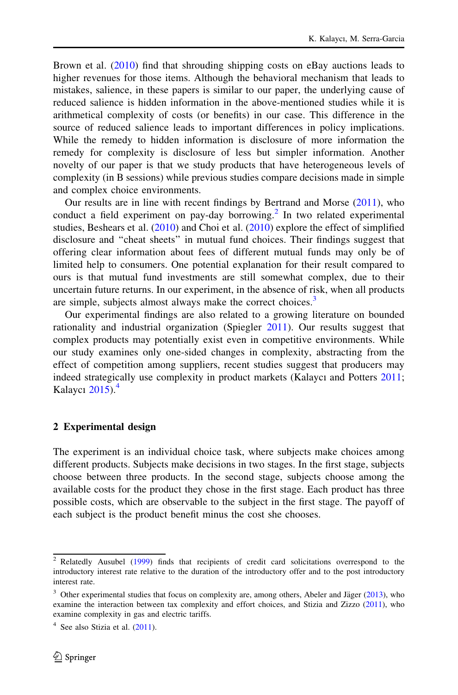Brown et al. [\(2010](#page-18-0)) find that shrouding shipping costs on eBay auctions leads to higher revenues for those items. Although the behavioral mechanism that leads to mistakes, salience, in these papers is similar to our paper, the underlying cause of reduced salience is hidden information in the above-mentioned studies while it is arithmetical complexity of costs (or benefits) in our case. This difference in the source of reduced salience leads to important differences in policy implications. While the remedy to hidden information is disclosure of more information the remedy for complexity is disclosure of less but simpler information. Another novelty of our paper is that we study products that have heterogeneous levels of complexity (in B sessions) while previous studies compare decisions made in simple and complex choice environments.

Our results are in line with recent findings by Bertrand and Morse [\(2011\)](#page-18-0), who conduct a field experiment on pay-day borrowing.<sup>2</sup> In two related experimental studies, Beshears et al. [\(2010](#page-18-0)) and Choi et al. [\(2010](#page-18-0)) explore the effect of simplified disclosure and ''cheat sheets'' in mutual fund choices. Their findings suggest that offering clear information about fees of different mutual funds may only be of limited help to consumers. One potential explanation for their result compared to ours is that mutual fund investments are still somewhat complex, due to their uncertain future returns. In our experiment, in the absence of risk, when all products are simple, subjects almost always make the correct choices.<sup>3</sup>

Our experimental findings are also related to a growing literature on bounded rationality and industrial organization (Spiegler [2011](#page-19-0)). Our results suggest that complex products may potentially exist even in competitive environments. While our study examines only one-sided changes in complexity, abstracting from the effect of competition among suppliers, recent studies suggest that producers may indeed strategically use complexity in product markets (Kalaycı and Potters [2011;](#page-19-0) Kalaycı  $2015$ ). $<sup>4</sup>$ </sup>

#### 2 Experimental design

The experiment is an individual choice task, where subjects make choices among different products. Subjects make decisions in two stages. In the first stage, subjects choose between three products. In the second stage, subjects choose among the available costs for the product they chose in the first stage. Each product has three possible costs, which are observable to the subject in the first stage. The payoff of each subject is the product benefit minus the cost she chooses.

 $2$  Relatedly Ausubel ([1999\)](#page-18-0) finds that recipients of credit card solicitations overrespond to the introductory interest rate relative to the duration of the introductory offer and to the post introductory interest rate.

 $3$  Other experimental studies that focus on complexity are, among others, Abeler and Jäger ([2013\)](#page-18-0), who examine the interaction between tax complexity and effort choices, and Stizia and Zizzo [\(2011](#page-19-0)), who examine complexity in gas and electric tariffs.

 $4$  See also Stizia et al. [\(2011\)](#page-19-0).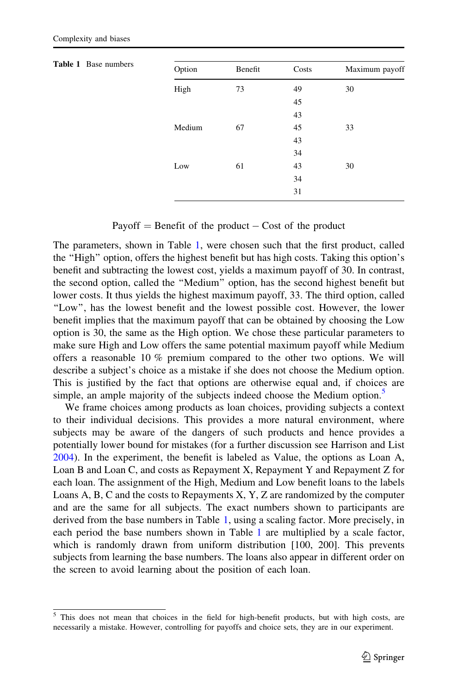| <b>Table 1</b> Base numbers | Option | Benefit | Costs | Maximum payoff |
|-----------------------------|--------|---------|-------|----------------|
|                             | High   | 73      | 49    | 30             |
|                             |        |         | 45    |                |
|                             |        |         | 43    |                |
|                             | Medium | 67      | 45    | 33             |
|                             |        |         | 43    |                |
|                             |        |         | 34    |                |
|                             | Low    | 61      | 43    | 30             |
|                             |        |         | 34    |                |
|                             |        |         | 31    |                |

Payoff  $=$  Benefit of the product  $-$  Cost of the product

The parameters, shown in Table 1, were chosen such that the first product, called the ''High'' option, offers the highest benefit but has high costs. Taking this option's benefit and subtracting the lowest cost, yields a maximum payoff of 30. In contrast, the second option, called the ''Medium'' option, has the second highest benefit but lower costs. It thus yields the highest maximum payoff, 33. The third option, called ''Low'', has the lowest benefit and the lowest possible cost. However, the lower benefit implies that the maximum payoff that can be obtained by choosing the Low option is 30, the same as the High option. We chose these particular parameters to make sure High and Low offers the same potential maximum payoff while Medium offers a reasonable 10 % premium compared to the other two options. We will describe a subject's choice as a mistake if she does not choose the Medium option. This is justified by the fact that options are otherwise equal and, if choices are simple, an ample majority of the subjects indeed choose the Medium option.<sup>5</sup>

We frame choices among products as loan choices, providing subjects a context to their individual decisions. This provides a more natural environment, where subjects may be aware of the dangers of such products and hence provides a potentially lower bound for mistakes (for a further discussion see Harrison and List [2004\)](#page-18-0). In the experiment, the benefit is labeled as Value, the options as Loan A, Loan B and Loan C, and costs as Repayment X, Repayment Y and Repayment Z for each loan. The assignment of the High, Medium and Low benefit loans to the labels Loans  $A$ ,  $B$ ,  $C$  and the costs to Repayments  $X$ ,  $Y$ ,  $Z$  are randomized by the computer and are the same for all subjects. The exact numbers shown to participants are derived from the base numbers in Table 1, using a scaling factor. More precisely, in each period the base numbers shown in Table 1 are multiplied by a scale factor, which is randomly drawn from uniform distribution [100, 200]. This prevents subjects from learning the base numbers. The loans also appear in different order on the screen to avoid learning about the position of each loan.

 $\frac{1}{5}$  This does not mean that choices in the field for high-benefit products, but with high costs, are necessarily a mistake. However, controlling for payoffs and choice sets, they are in our experiment.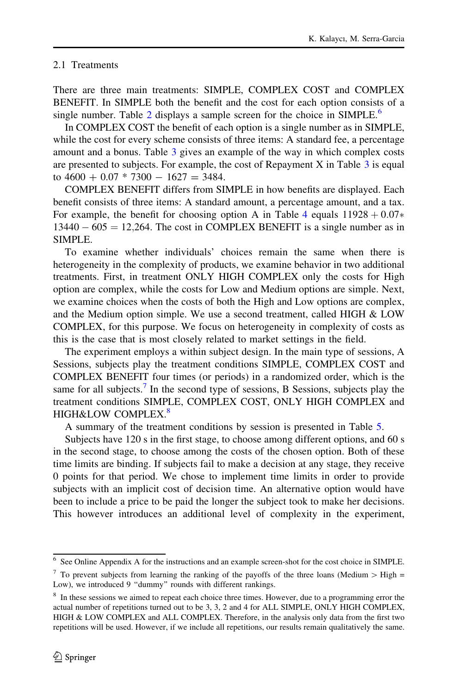#### 2.1 Treatments

There are three main treatments: SIMPLE, COMPLEX COST and COMPLEX BENEFIT. In SIMPLE both the benefit and the cost for each option consists of a single number. Table [2](#page-6-0) displays a sample screen for the choice in SIMPLE.<sup>6</sup>

In COMPLEX COST the benefit of each option is a single number as in SIMPLE, while the cost for every scheme consists of three items: A standard fee, a percentage amount and a bonus. Table [3](#page-6-0) gives an example of the way in which complex costs are presented to subjects. For example, the cost of Repayment X in Table  $3$  is equal to  $4600 + 0.07 * 7300 - 1627 = 3484$ .

COMPLEX BENEFIT differs from SIMPLE in how benefits are displayed. Each benefit consists of three items: A standard amount, a percentage amount, and a tax. For example, the benefit for choosing option A in Table [4](#page-7-0) equals  $11928 + 0.07*$  $13440 - 605 = 12{,}264$ . The cost in COMPLEX BENEFIT is a single number as in SIMPLE.

To examine whether individuals' choices remain the same when there is heterogeneity in the complexity of products, we examine behavior in two additional treatments. First, in treatment ONLY HIGH COMPLEX only the costs for High option are complex, while the costs for Low and Medium options are simple. Next, we examine choices when the costs of both the High and Low options are complex, and the Medium option simple. We use a second treatment, called HIGH & LOW COMPLEX, for this purpose. We focus on heterogeneity in complexity of costs as this is the case that is most closely related to market settings in the field.

The experiment employs a within subject design. In the main type of sessions, A Sessions, subjects play the treatment conditions SIMPLE, COMPLEX COST and COMPLEX BENEFIT four times (or periods) in a randomized order, which is the same for all subjects.<sup>7</sup> In the second type of sessions, B Sessions, subjects play the treatment conditions SIMPLE, COMPLEX COST, ONLY HIGH COMPLEX and HIGH&LOW COMPLEX.<sup>8</sup>

A summary of the treatment conditions by session is presented in Table [5](#page-7-0).

Subjects have 120 s in the first stage, to choose among different options, and 60 s in the second stage, to choose among the costs of the chosen option. Both of these time limits are binding. If subjects fail to make a decision at any stage, they receive 0 points for that period. We chose to implement time limits in order to provide subjects with an implicit cost of decision time. An alternative option would have been to include a price to be paid the longer the subject took to make her decisions. This however introduces an additional level of complexity in the experiment,

<sup>6</sup> See Online Appendix A for the instructions and an example screen-shot for the cost choice in SIMPLE.

<sup>&</sup>lt;sup>7</sup> To prevent subjects from learning the ranking of the payoffs of the three loans (Medium  $>$  High = Low), we introduced 9 "dummy" rounds with different rankings.

<sup>&</sup>lt;sup>8</sup> In these sessions we aimed to repeat each choice three times. However, due to a programming error the actual number of repetitions turned out to be 3, 3, 2 and 4 for ALL SIMPLE, ONLY HIGH COMPLEX, HIGH & LOW COMPLEX and ALL COMPLEX. Therefore, in the analysis only data from the first two repetitions will be used. However, if we include all repetitions, our results remain qualitatively the same.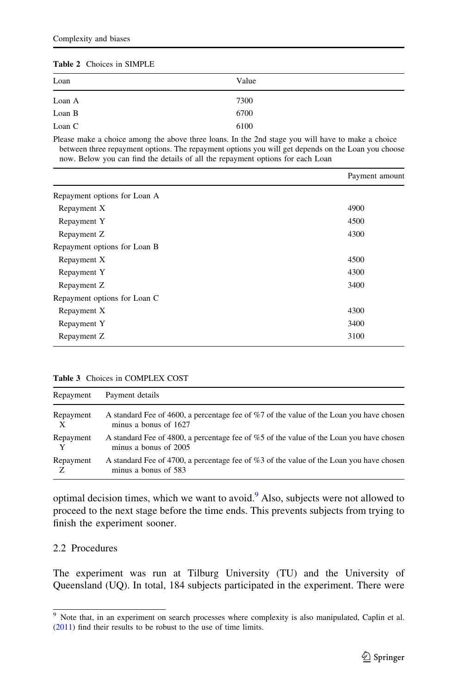<span id="page-6-0"></span>

| Table 2 Choices in SIMPLE |  |  |  |
|---------------------------|--|--|--|
|---------------------------|--|--|--|

| Loan   | Value |
|--------|-------|
| Loan A | 7300  |
| Loan B | 6700  |
| Loan C | 6100  |

Please make a choice among the above three loans. In the 2nd stage you will have to make a choice between three repayment options. The repayment options you will get depends on the Loan you choose now. Below you can find the details of all the repayment options for each Loan

|                              | Payment amount |
|------------------------------|----------------|
| Repayment options for Loan A |                |
| Repayment X                  | 4900           |
| Repayment Y                  | 4500           |
| Repayment Z                  | 4300           |
| Repayment options for Loan B |                |
| Repayment X                  | 4500           |
| Repayment Y                  | 4300           |
| Repayment Z                  | 3400           |
| Repayment options for Loan C |                |
| Repayment X                  | 4300           |
| Repayment Y                  | 3400           |
| Repayment Z                  | 3100           |
|                              |                |

|  |  | <b>Table 3</b> Choices in COMPLEX COST |  |
|--|--|----------------------------------------|--|
|--|--|----------------------------------------|--|

| Repayment | Payment details                                                                         |
|-----------|-----------------------------------------------------------------------------------------|
| Repayment | A standard Fee of 4600, a percentage fee of %7 of the value of the Loan you have chosen |
| X         | minus a bonus of 1627                                                                   |
| Repayment | A standard Fee of 4800, a percentage fee of %5 of the value of the Loan you have chosen |
| Y         | minus a bonus of 2005                                                                   |
| Repayment | A standard Fee of 4700, a percentage fee of %3 of the value of the Loan you have chosen |
| Z         | minus a bonus of 583                                                                    |

optimal decision times, which we want to avoid.<sup>9</sup> Also, subjects were not allowed to proceed to the next stage before the time ends. This prevents subjects from trying to finish the experiment sooner.

## 2.2 Procedures

The experiment was run at Tilburg University (TU) and the University of Queensland (UQ). In total, 184 subjects participated in the experiment. There were

<sup>&</sup>lt;sup>9</sup> Note that, in an experiment on search processes where complexity is also manipulated, Caplin et al. ([2011\)](#page-18-0) find their results to be robust to the use of time limits.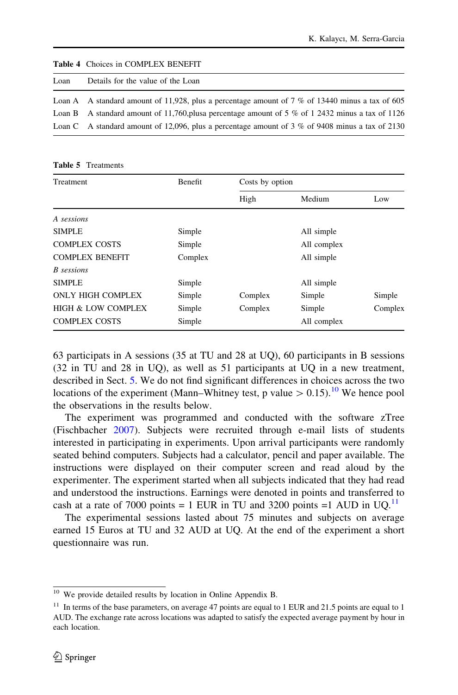|      | ***** * ******* *** *****************                                                             |
|------|---------------------------------------------------------------------------------------------------|
| Loan | Details for the value of the Loan                                                                 |
|      | Loan A A standard amount of 11,928, plus a percentage amount of 7 % of 13440 minus a tax of 605   |
|      | Loan B A standard amount of 11,760, plus a percentage amount of 5 % of 1 2432 minus a tax of 1126 |
|      | Loan C A standard amount of 12,096, plus a percentage amount of $3\%$ of 9408 minus a tax of 2130 |

| <b>Table 5</b> Treatments |
|---------------------------|
|                           |

<span id="page-7-0"></span>Table 4. Choices in COMPLEY BENEFIT

| Treatment                     | <b>Benefit</b> | Costs by option |             |         |
|-------------------------------|----------------|-----------------|-------------|---------|
|                               |                | High            | Medium      | Low     |
| A sessions                    |                |                 |             |         |
| <b>SIMPLE</b>                 | Simple         |                 | All simple  |         |
| <b>COMPLEX COSTS</b>          | Simple         |                 | All complex |         |
| <b>COMPLEX BENEFIT</b>        | Complex        |                 | All simple  |         |
| <b>B</b> sessions             |                |                 |             |         |
| <b>SIMPLE</b>                 | Simple         |                 | All simple  |         |
| ONLY HIGH COMPLEX             | Simple         | Complex         | Simple      | Simple  |
| <b>HIGH &amp; LOW COMPLEX</b> | Simple         | Complex         | Simple      | Complex |
| <b>COMPLEX COSTS</b>          | Simple         |                 | All complex |         |

63 participats in A sessions (35 at TU and 28 at UQ), 60 participants in B sessions (32 in TU and 28 in UQ), as well as 51 participants at UQ in a new treatment, described in Sect. [5.](#page-15-0) We do not find significant differences in choices across the two locations of the experiment (Mann–Whitney test, p value  $> 0.15$ ).<sup>10</sup> We hence pool the observations in the results below.

The experiment was programmed and conducted with the software zTree (Fischbacher [2007\)](#page-18-0). Subjects were recruited through e-mail lists of students interested in participating in experiments. Upon arrival participants were randomly seated behind computers. Subjects had a calculator, pencil and paper available. The instructions were displayed on their computer screen and read aloud by the experimenter. The experiment started when all subjects indicated that they had read and understood the instructions. Earnings were denoted in points and transferred to cash at a rate of 7000 points = 1 EUR in TU and 3200 points = 1 AUD in UO.<sup>11</sup>

The experimental sessions lasted about 75 minutes and subjects on average earned 15 Euros at TU and 32 AUD at UQ. At the end of the experiment a short questionnaire was run.

 $10$  We provide detailed results by location in Online Appendix B.

<sup>&</sup>lt;sup>11</sup> In terms of the base parameters, on average 47 points are equal to 1 EUR and 21.5 points are equal to 1 AUD. The exchange rate across locations was adapted to satisfy the expected average payment by hour in each location.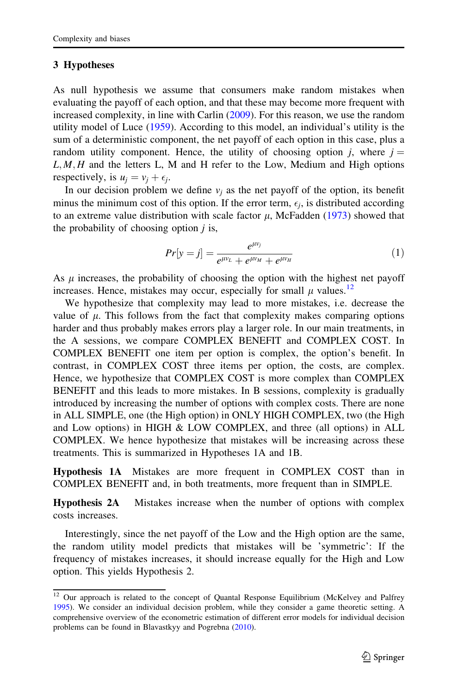## 3 Hypotheses

As null hypothesis we assume that consumers make random mistakes when evaluating the payoff of each option, and that these may become more frequent with increased complexity, in line with Carlin [\(2009](#page-18-0)). For this reason, we use the random utility model of Luce ([1959\)](#page-19-0). According to this model, an individual's utility is the sum of a deterministic component, the net payoff of each option in this case, plus a random utility component. Hence, the utility of choosing option *i*, where  $i =$  $L, M, H$  and the letters L, M and H refer to the Low, Medium and High options respectively, is  $u_j = v_j + \epsilon_j$ .

In our decision problem we define  $v_i$  as the net payoff of the option, its benefit minus the minimum cost of this option. If the error term,  $\epsilon_j$ , is distributed according to an extreme value distribution with scale factor  $\mu$ , McFadden ([1973\)](#page-19-0) showed that the probability of choosing option  $i$  is,

$$
Pr[y = j] = \frac{e^{\mu v_j}}{e^{\mu v_L} + e^{\mu v_M} + e^{\mu v_H}}
$$
(1)

As  $\mu$  increases, the probability of choosing the option with the highest net payoff increases. Hence, mistakes may occur, especially for small  $\mu$  values.<sup>12</sup>

We hypothesize that complexity may lead to more mistakes, i.e. decrease the value of  $\mu$ . This follows from the fact that complexity makes comparing options harder and thus probably makes errors play a larger role. In our main treatments, in the A sessions, we compare COMPLEX BENEFIT and COMPLEX COST. In COMPLEX BENEFIT one item per option is complex, the option's benefit. In contrast, in COMPLEX COST three items per option, the costs, are complex. Hence, we hypothesize that COMPLEX COST is more complex than COMPLEX BENEFIT and this leads to more mistakes. In B sessions, complexity is gradually introduced by increasing the number of options with complex costs. There are none in ALL SIMPLE, one (the High option) in ONLY HIGH COMPLEX, two (the High and Low options) in HIGH & LOW COMPLEX, and three (all options) in ALL COMPLEX. We hence hypothesize that mistakes will be increasing across these treatments. This is summarized in Hypotheses 1A and 1B.

Hypothesis 1A Mistakes are more frequent in COMPLEX COST than in COMPLEX BENEFIT and, in both treatments, more frequent than in SIMPLE.

Hypothesis 2A Mistakes increase when the number of options with complex costs increases.

Interestingly, since the net payoff of the Low and the High option are the same, the random utility model predicts that mistakes will be 'symmetric': If the frequency of mistakes increases, it should increase equally for the High and Low option. This yields Hypothesis 2.

<sup>&</sup>lt;sup>12</sup> Our approach is related to the concept of Quantal Response Equilibrium (McKelvey and Palfrey [1995\)](#page-19-0). We consider an individual decision problem, while they consider a game theoretic setting. A comprehensive overview of the econometric estimation of different error models for individual decision problems can be found in Blavastkyy and Pogrebna [\(2010](#page-18-0)).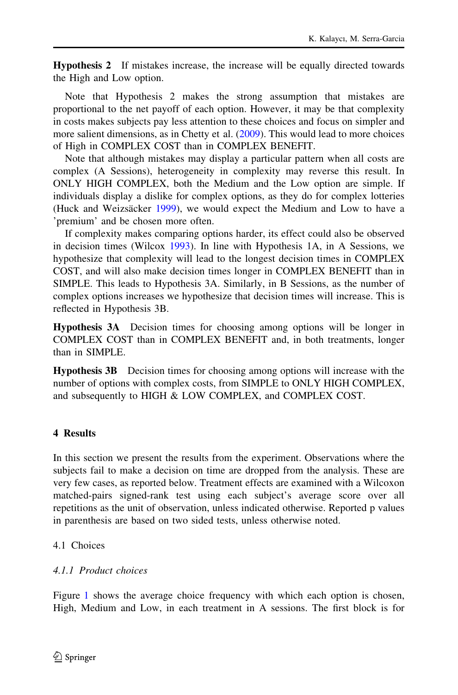Hypothesis 2 If mistakes increase, the increase will be equally directed towards the High and Low option.

Note that Hypothesis 2 makes the strong assumption that mistakes are proportional to the net payoff of each option. However, it may be that complexity in costs makes subjects pay less attention to these choices and focus on simpler and more salient dimensions, as in Chetty et al. ([2009\)](#page-18-0). This would lead to more choices of High in COMPLEX COST than in COMPLEX BENEFIT.

Note that although mistakes may display a particular pattern when all costs are complex (A Sessions), heterogeneity in complexity may reverse this result. In ONLY HIGH COMPLEX, both the Medium and the Low option are simple. If individuals display a dislike for complex options, as they do for complex lotteries (Huck and Weizsäcker [1999](#page-19-0)), we would expect the Medium and Low to have a 'premium' and be chosen more often.

If complexity makes comparing options harder, its effect could also be observed in decision times (Wilcox [1993\)](#page-19-0). In line with Hypothesis 1A, in A Sessions, we hypothesize that complexity will lead to the longest decision times in COMPLEX COST, and will also make decision times longer in COMPLEX BENEFIT than in SIMPLE. This leads to Hypothesis 3A. Similarly, in B Sessions, as the number of complex options increases we hypothesize that decision times will increase. This is reflected in Hypothesis 3B.

Hypothesis 3A Decision times for choosing among options will be longer in COMPLEX COST than in COMPLEX BENEFIT and, in both treatments, longer than in SIMPLE.

Hypothesis 3B Decision times for choosing among options will increase with the number of options with complex costs, from SIMPLE to ONLY HIGH COMPLEX, and subsequently to HIGH & LOW COMPLEX, and COMPLEX COST.

### 4 Results

In this section we present the results from the experiment. Observations where the subjects fail to make a decision on time are dropped from the analysis. These are very few cases, as reported below. Treatment effects are examined with a Wilcoxon matched-pairs signed-rank test using each subject's average score over all repetitions as the unit of observation, unless indicated otherwise. Reported p values in parenthesis are based on two sided tests, unless otherwise noted.

## 4.1 Choices

### 4.1.1 Product choices

Figure [1](#page-10-0) shows the average choice frequency with which each option is chosen, High, Medium and Low, in each treatment in A sessions. The first block is for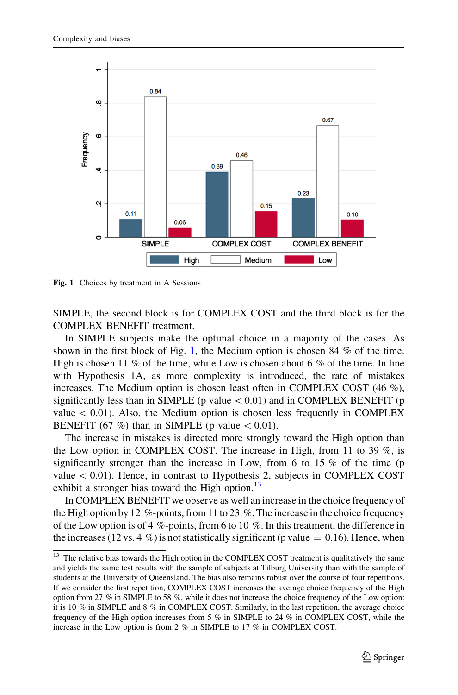<span id="page-10-0"></span>

Fig. 1 Choices by treatment in A Sessions

SIMPLE, the second block is for COMPLEX COST and the third block is for the COMPLEX BENEFIT treatment.

In SIMPLE subjects make the optimal choice in a majority of the cases. As shown in the first block of Fig. 1, the Medium option is chosen 84 % of the time. High is chosen 11 % of the time, while Low is chosen about 6 % of the time. In line with Hypothesis 1A, as more complexity is introduced, the rate of mistakes increases. The Medium option is chosen least often in COMPLEX COST (46 %), significantly less than in SIMPLE (p value  $\lt$  0.01) and in COMPLEX BENEFIT (p value  $\lt$  0.01). Also, the Medium option is chosen less frequently in COMPLEX BENEFIT (67 %) than in SIMPLE (p value  $< 0.01$ ).

The increase in mistakes is directed more strongly toward the High option than the Low option in COMPLEX COST. The increase in High, from 11 to 39 %, is significantly stronger than the increase in Low, from 6 to 15  $\%$  of the time (p value  $\lt$  0.01). Hence, in contrast to Hypothesis 2, subjects in COMPLEX COST exhibit a stronger bias toward the High option.<sup>13</sup>

In COMPLEX BENEFIT we observe as well an increase in the choice frequency of the High option by 12 %-points, from 11 to 23 %. The increase in the choice frequency of the Low option is of 4 %-points, from 6 to 10 %. In this treatment, the difference in the increases (12 vs. 4 %) is not statistically significant (p value  $= 0.16$ ). Hence, when

 $13$  The relative bias towards the High option in the COMPLEX COST treatment is qualitatively the same and yields the same test results with the sample of subjects at Tilburg University than with the sample of students at the University of Queensland. The bias also remains robust over the course of four repetitions. If we consider the first repetition, COMPLEX COST increases the average choice frequency of the High option from 27 % in SIMPLE to 58 %, while it does not increase the choice frequency of the Low option: it is 10 % in SIMPLE and 8 % in COMPLEX COST. Similarly, in the last repetition, the average choice frequency of the High option increases from 5 % in SIMPLE to 24 % in COMPLEX COST, while the increase in the Low option is from 2 % in SIMPLE to 17 % in COMPLEX COST.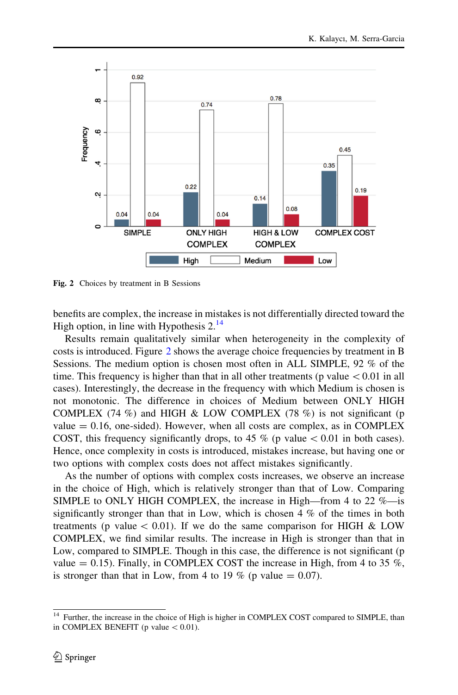

Fig. 2 Choices by treatment in B Sessions

benefits are complex, the increase in mistakes is not differentially directed toward the High option, in line with Hypothesis  $2^{14}$ .

Results remain qualitatively similar when heterogeneity in the complexity of costs is introduced. Figure 2 shows the average choice frequencies by treatment in B Sessions. The medium option is chosen most often in ALL SIMPLE, 92 % of the time. This frequency is higher than that in all other treatments (p value  $\leq 0.01$  in all cases). Interestingly, the decrease in the frequency with which Medium is chosen is not monotonic. The difference in choices of Medium between ONLY HIGH COMPLEX (74 %) and HIGH & LOW COMPLEX (78 %) is not significant (p value  $= 0.16$ , one-sided). However, when all costs are complex, as in COMPLEX COST, this frequency significantly drops, to 45 % (p value  $\lt$  0.01 in both cases). Hence, once complexity in costs is introduced, mistakes increase, but having one or two options with complex costs does not affect mistakes significantly.

As the number of options with complex costs increases, we observe an increase in the choice of High, which is relatively stronger than that of Low. Comparing SIMPLE to ONLY HIGH COMPLEX, the increase in High—from 4 to 22  $\%$ —is significantly stronger than that in Low, which is chosen 4 % of the times in both treatments (p value  $\lt$  0.01). If we do the same comparison for HIGH & LOW COMPLEX, we find similar results. The increase in High is stronger than that in Low, compared to SIMPLE. Though in this case, the difference is not significant (p value  $= 0.15$ ). Finally, in COMPLEX COST the increase in High, from 4 to 35 %, is stronger than that in Low, from 4 to 19 % (p value  $= 0.07$ ).

 $14$  Further, the increase in the choice of High is higher in COMPLEX COST compared to SIMPLE, than in COMPLEX BENEFIT (p value  $< 0.01$ ).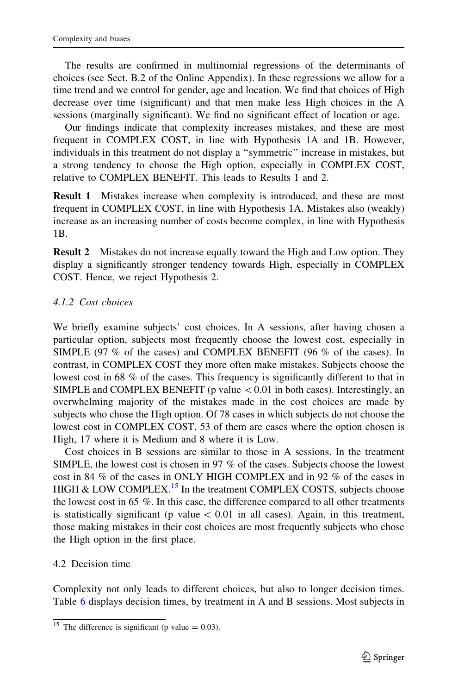The results are confirmed in multinomial regressions of the determinants of choices (see Sect. B.2 of the Online Appendix). In these regressions we allow for a time trend and we control for gender, age and location. We find that choices of High decrease over time (significant) and that men make less High choices in the A sessions (marginally significant). We find no significant effect of location or age.

Our findings indicate that complexity increases mistakes, and these are most frequent in COMPLEX COST, in line with Hypothesis 1A and 1B. However, individuals in this treatment do not display a ''symmetric'' increase in mistakes, but a strong tendency to choose the High option, especially in COMPLEX COST, relative to COMPLEX BENEFIT. This leads to Results 1 and 2.

Result 1 Mistakes increase when complexity is introduced, and these are most frequent in COMPLEX COST, in line with Hypothesis 1A. Mistakes also (weakly) increase as an increasing number of costs become complex, in line with Hypothesis 1B.

Result 2 Mistakes do not increase equally toward the High and Low option. They display a significantly stronger tendency towards High, especially in COMPLEX COST. Hence, we reject Hypothesis 2.

# 4.1.2 Cost choices

We briefly examine subjects' cost choices. In A sessions, after having chosen a particular option, subjects most frequently choose the lowest cost, especially in SIMPLE (97 % of the cases) and COMPLEX BENEFIT (96 % of the cases). In contrast, in COMPLEX COST they more often make mistakes. Subjects choose the lowest cost in 68 % of the cases. This frequency is significantly different to that in SIMPLE and COMPLEX BENEFIT (p value  $\lt 0.01$  in both cases). Interestingly, an overwhelming majority of the mistakes made in the cost choices are made by subjects who chose the High option. Of 78 cases in which subjects do not choose the lowest cost in COMPLEX COST, 53 of them are cases where the option chosen is High, 17 where it is Medium and 8 where it is Low.

Cost choices in B sessions are similar to those in A sessions. In the treatment SIMPLE, the lowest cost is chosen in 97 % of the cases. Subjects choose the lowest cost in 84 % of the cases in ONLY HIGH COMPLEX and in 92 % of the cases in HIGH & LOW COMPLEX.<sup>15</sup> In the treatment COMPLEX COSTS, subjects choose the lowest cost in 65 %. In this case, the difference compared to all other treatments is statistically significant (p value  $\lt$  0.01 in all cases). Again, in this treatment, those making mistakes in their cost choices are most frequently subjects who chose the High option in the first place.

## 4.2 Decision time

Complexity not only leads to different choices, but also to longer decision times. Table [6](#page-13-0) displays decision times, by treatment in A and B sessions. Most subjects in

<sup>&</sup>lt;sup>15</sup> The difference is significant (p value = 0.03).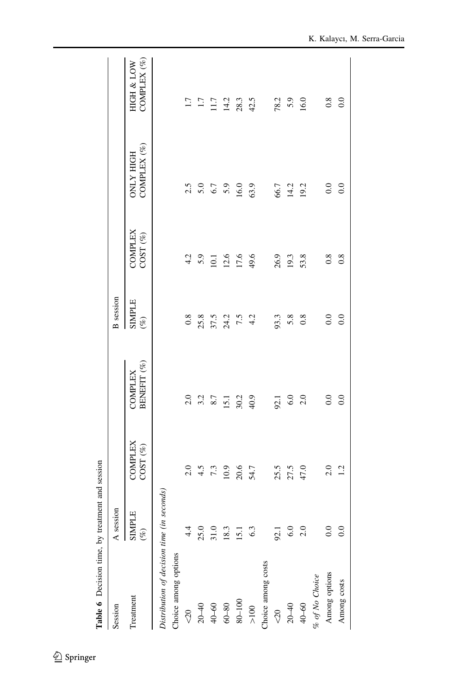<span id="page-13-0"></span>

| Table 6 Decision time, by treatment and session |                         |                        |                                          |                           |                        |                                 |                           |
|-------------------------------------------------|-------------------------|------------------------|------------------------------------------|---------------------------|------------------------|---------------------------------|---------------------------|
| Session                                         | A session               |                        |                                          | <b>B</b> session          |                        |                                 |                           |
| Treatment                                       | <b>SIMPLE</b><br>$(\%)$ | COMPLEX<br>$COST (\%)$ | BENEFIT <sup>(%)</sup><br><b>COMPLEX</b> | <b>SIMPLE</b><br>$(\%)$   | COMPLEX<br>$COST (\%)$ | COMPLEX (%)<br><b>ONLY HIGH</b> | COMPLEX (%)<br>HIGH & LOW |
| Distribution of decision time (in seconds)      |                         |                        |                                          |                           |                        |                                 |                           |
| Choice among options                            |                         |                        |                                          |                           |                        |                                 |                           |
| $\sqrt{2}$                                      | 4.4                     | 2.0                    | 2.0                                      | 0.8                       | 4.2                    | 2.5                             | 1.7                       |
| $20 - 40$                                       | 25.0                    | 4.5                    | 3.2                                      | 25.8                      | 5.9                    | 5.0                             | 1.7                       |
| $40 - 60$                                       | 31.0                    | 7.3                    | 8.7                                      |                           | 10.1                   | $6.7\,$                         | 11.7                      |
| $60 - 80$                                       | 18.3                    | 10.9                   | 15.1                                     | $37.5$<br>$24.2$<br>$7.5$ | 12.6                   | 5.9                             | 14.2                      |
| $80 - 100$                                      | 15.1                    | 20.6                   | 30.2                                     |                           | 17.6                   | 16.0                            | 28.3                      |
| $>100$                                          | 6.3                     | 54.7                   | 40.9                                     | 4.2                       | 49.6                   | 63.9                            | 42.5                      |
| Choice among costs                              |                         |                        |                                          |                           |                        |                                 |                           |
| $\sqrt{2}$                                      | 92.1                    | 25.5                   | 92.1                                     | 93.3                      | 26.9                   | 66.7                            | 78.2                      |
| $20 - 40$                                       | 6.0                     | 27.5                   | 6.0                                      | 5.8                       | 19.3                   | 14.2                            | 5.9                       |
| $40 - 60$                                       | 2.0                     | 47.0                   | 2.0                                      | 0.8                       | 53.8                   | 19.2                            | 16.0                      |
| % of No Choice                                  |                         |                        |                                          |                           |                        |                                 |                           |
| Among options                                   | 0.0                     | 2.0                    | 0.0                                      | 0.0                       | 0.8                    | $\overline{0}$ .                | 0.8                       |
| Among costs                                     | 0.0                     | 1.2                    | $_{0.0}$                                 | 0.0                       | 0.8                    | 0.0                             | $_{0.0}$                  |
|                                                 |                         |                        |                                          |                           |                        |                                 |                           |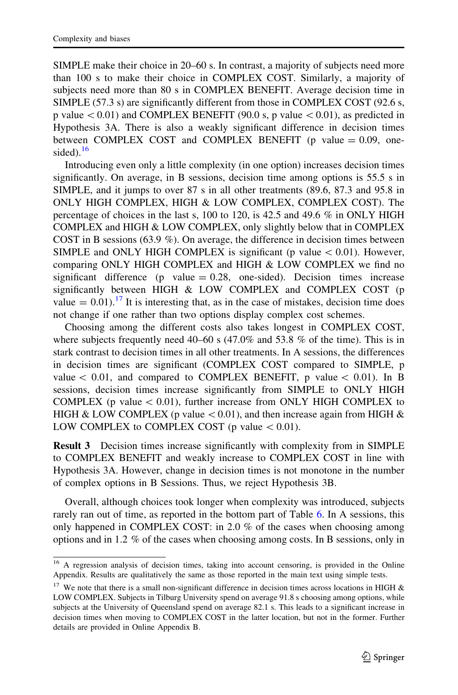SIMPLE make their choice in 20–60 s. In contrast, a majority of subjects need more than 100 s to make their choice in COMPLEX COST. Similarly, a majority of subjects need more than 80 s in COMPLEX BENEFIT. Average decision time in SIMPLE (57.3 s) are significantly different from those in COMPLEX COST (92.6 s, p value  $\lt$  0.01) and COMPLEX BENEFIT (90.0 s, p value  $\lt$  0.01), as predicted in Hypothesis 3A. There is also a weakly significant difference in decision times between COMPLEX COST and COMPLEX BENEFIT (p value  $= 0.09$ , onesided). $16$ 

Introducing even only a little complexity (in one option) increases decision times significantly. On average, in B sessions, decision time among options is 55.5 s in SIMPLE, and it jumps to over 87 s in all other treatments (89.6, 87.3 and 95.8 in ONLY HIGH COMPLEX, HIGH & LOW COMPLEX, COMPLEX COST). The percentage of choices in the last s, 100 to 120, is 42.5 and 49.6 % in ONLY HIGH COMPLEX and HIGH & LOW COMPLEX, only slightly below that in COMPLEX COST in B sessions  $(63.9\%)$ . On average, the difference in decision times between SIMPLE and ONLY HIGH COMPLEX is significant (p value  $\lt$  0.01). However, comparing ONLY HIGH COMPLEX and HIGH & LOW COMPLEX we find no significant difference (p value  $= 0.28$ , one-sided). Decision times increase significantly between HIGH & LOW COMPLEX and COMPLEX COST (p value  $= 0.01$ ).<sup>17</sup> It is interesting that, as in the case of mistakes, decision time does not change if one rather than two options display complex cost schemes.

Choosing among the different costs also takes longest in COMPLEX COST, where subjects frequently need 40–60 s (47.0% and 53.8 % of the time). This is in stark contrast to decision times in all other treatments. In A sessions, the differences in decision times are significant (COMPLEX COST compared to SIMPLE, p value  $\lt$  0.01, and compared to COMPLEX BENEFIT, p value  $\lt$  0.01). In B sessions, decision times increase significantly from SIMPLE to ONLY HIGH COMPLEX (p value  $\lt$  0.01), further increase from ONLY HIGH COMPLEX to HIGH & LOW COMPLEX (p value  $\lt$  0.01), and then increase again from HIGH & LOW COMPLEX to COMPLEX COST (p value  $\lt$  0.01).

Result 3 Decision times increase significantly with complexity from in SIMPLE to COMPLEX BENEFIT and weakly increase to COMPLEX COST in line with Hypothesis 3A. However, change in decision times is not monotone in the number of complex options in B Sessions. Thus, we reject Hypothesis 3B.

Overall, although choices took longer when complexity was introduced, subjects rarely ran out of time, as reported in the bottom part of Table [6](#page-13-0). In A sessions, this only happened in COMPLEX COST: in 2.0 % of the cases when choosing among options and in 1.2 % of the cases when choosing among costs. In B sessions, only in

<sup>&</sup>lt;sup>16</sup> A regression analysis of decision times, taking into account censoring, is provided in the Online Appendix. Results are qualitatively the same as those reported in the main text using simple tests.

<sup>&</sup>lt;sup>17</sup> We note that there is a small non-significant difference in decision times across locations in HIGH  $\&$ LOW COMPLEX. Subjects in Tilburg University spend on average 91.8 s choosing among options, while subjects at the University of Queensland spend on average 82.1 s. This leads to a significant increase in decision times when moving to COMPLEX COST in the latter location, but not in the former. Further details are provided in Online Appendix B.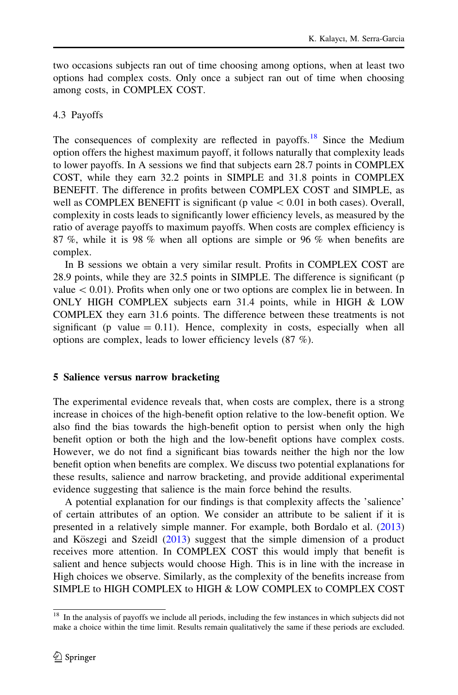<span id="page-15-0"></span>two occasions subjects ran out of time choosing among options, when at least two options had complex costs. Only once a subject ran out of time when choosing among costs, in COMPLEX COST.

# 4.3 Payoffs

The consequences of complexity are reflected in payoffs.<sup>18</sup> Since the Medium option offers the highest maximum payoff, it follows naturally that complexity leads to lower payoffs. In A sessions we find that subjects earn 28.7 points in COMPLEX COST, while they earn 32.2 points in SIMPLE and 31.8 points in COMPLEX BENEFIT. The difference in profits between COMPLEX COST and SIMPLE, as well as COMPLEX BENEFIT is significant (p value  $\lt$  0.01 in both cases). Overall, complexity in costs leads to significantly lower efficiency levels, as measured by the ratio of average payoffs to maximum payoffs. When costs are complex efficiency is 87 %, while it is 98 % when all options are simple or 96 % when benefits are complex.

In B sessions we obtain a very similar result. Profits in COMPLEX COST are 28.9 points, while they are 32.5 points in SIMPLE. The difference is significant (p value  $\langle 0.01 \rangle$ . Profits when only one or two options are complex lie in between. In ONLY HIGH COMPLEX subjects earn 31.4 points, while in HIGH & LOW COMPLEX they earn 31.6 points. The difference between these treatments is not significant (p value  $= 0.11$ ). Hence, complexity in costs, especially when all options are complex, leads to lower efficiency levels (87 %).

## 5 Salience versus narrow bracketing

The experimental evidence reveals that, when costs are complex, there is a strong increase in choices of the high-benefit option relative to the low-benefit option. We also find the bias towards the high-benefit option to persist when only the high benefit option or both the high and the low-benefit options have complex costs. However, we do not find a significant bias towards neither the high nor the low benefit option when benefits are complex. We discuss two potential explanations for these results, salience and narrow bracketing, and provide additional experimental evidence suggesting that salience is the main force behind the results.

A potential explanation for our findings is that complexity affects the 'salience' of certain attributes of an option. We consider an attribute to be salient if it is presented in a relatively simple manner. For example, both Bordalo et al. [\(2013](#page-18-0)) and Köszegi and Szeidl  $(2013)$  $(2013)$  suggest that the simple dimension of a product receives more attention. In COMPLEX COST this would imply that benefit is salient and hence subjects would choose High. This is in line with the increase in High choices we observe. Similarly, as the complexity of the benefits increase from SIMPLE to HIGH COMPLEX to HIGH & LOW COMPLEX to COMPLEX COST

 $\frac{18}{18}$  In the analysis of payoffs we include all periods, including the few instances in which subjects did not make a choice within the time limit. Results remain qualitatively the same if these periods are excluded.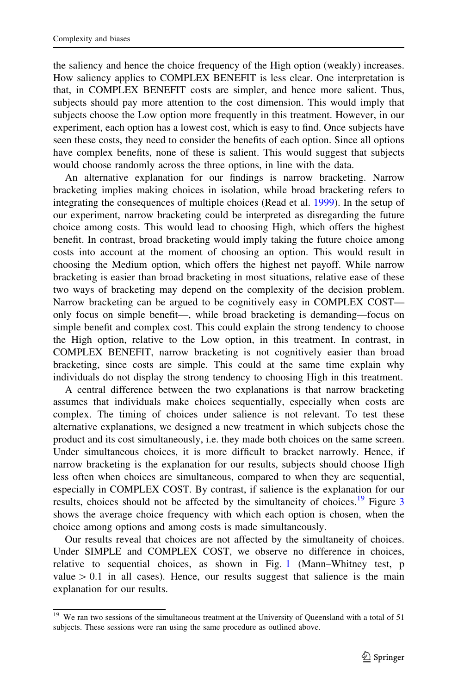the saliency and hence the choice frequency of the High option (weakly) increases. How saliency applies to COMPLEX BENEFIT is less clear. One interpretation is that, in COMPLEX BENEFIT costs are simpler, and hence more salient. Thus, subjects should pay more attention to the cost dimension. This would imply that subjects choose the Low option more frequently in this treatment. However, in our experiment, each option has a lowest cost, which is easy to find. Once subjects have seen these costs, they need to consider the benefits of each option. Since all options have complex benefits, none of these is salient. This would suggest that subjects would choose randomly across the three options, in line with the data.

An alternative explanation for our findings is narrow bracketing. Narrow bracketing implies making choices in isolation, while broad bracketing refers to integrating the consequences of multiple choices (Read et al. [1999\)](#page-19-0). In the setup of our experiment, narrow bracketing could be interpreted as disregarding the future choice among costs. This would lead to choosing High, which offers the highest benefit. In contrast, broad bracketing would imply taking the future choice among costs into account at the moment of choosing an option. This would result in choosing the Medium option, which offers the highest net payoff. While narrow bracketing is easier than broad bracketing in most situations, relative ease of these two ways of bracketing may depend on the complexity of the decision problem. Narrow bracketing can be argued to be cognitively easy in COMPLEX COST only focus on simple benefit—, while broad bracketing is demanding—focus on simple benefit and complex cost. This could explain the strong tendency to choose the High option, relative to the Low option, in this treatment. In contrast, in COMPLEX BENEFIT, narrow bracketing is not cognitively easier than broad bracketing, since costs are simple. This could at the same time explain why individuals do not display the strong tendency to choosing High in this treatment.

A central difference between the two explanations is that narrow bracketing assumes that individuals make choices sequentially, especially when costs are complex. The timing of choices under salience is not relevant. To test these alternative explanations, we designed a new treatment in which subjects chose the product and its cost simultaneously, i.e. they made both choices on the same screen. Under simultaneous choices, it is more difficult to bracket narrowly. Hence, if narrow bracketing is the explanation for our results, subjects should choose High less often when choices are simultaneous, compared to when they are sequential, especially in COMPLEX COST. By contrast, if salience is the explanation for our results, choices should not be affected by the simultaneity of choices.<sup>19</sup> Figure [3](#page-17-0) shows the average choice frequency with which each option is chosen, when the choice among options and among costs is made simultaneously.

Our results reveal that choices are not affected by the simultaneity of choices. Under SIMPLE and COMPLEX COST, we observe no difference in choices, relative to sequential choices, as shown in Fig. [1](#page-10-0) (Mann–Whitney test, p value  $> 0.1$  in all cases). Hence, our results suggest that salience is the main explanation for our results.

 $\frac{19}{19}$  We ran two sessions of the simultaneous treatment at the University of Queensland with a total of 51 subjects. These sessions were ran using the same procedure as outlined above.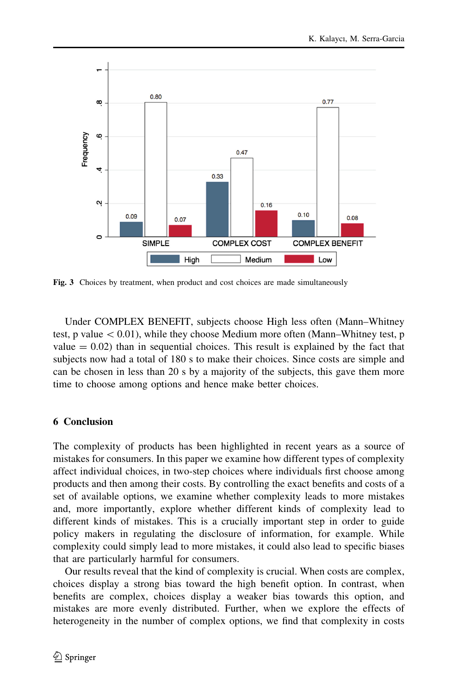<span id="page-17-0"></span>

Fig. 3 Choices by treatment, when product and cost choices are made simultaneously

Under COMPLEX BENEFIT, subjects choose High less often (Mann–Whitney test, p value  $\< 0.01$ , while they choose Medium more often (Mann–Whitney test, p value  $= 0.02$ ) than in sequential choices. This result is explained by the fact that subjects now had a total of 180 s to make their choices. Since costs are simple and can be chosen in less than 20 s by a majority of the subjects, this gave them more time to choose among options and hence make better choices.

### 6 Conclusion

The complexity of products has been highlighted in recent years as a source of mistakes for consumers. In this paper we examine how different types of complexity affect individual choices, in two-step choices where individuals first choose among products and then among their costs. By controlling the exact benefits and costs of a set of available options, we examine whether complexity leads to more mistakes and, more importantly, explore whether different kinds of complexity lead to different kinds of mistakes. This is a crucially important step in order to guide policy makers in regulating the disclosure of information, for example. While complexity could simply lead to more mistakes, it could also lead to specific biases that are particularly harmful for consumers.

Our results reveal that the kind of complexity is crucial. When costs are complex, choices display a strong bias toward the high benefit option. In contrast, when benefits are complex, choices display a weaker bias towards this option, and mistakes are more evenly distributed. Further, when we explore the effects of heterogeneity in the number of complex options, we find that complexity in costs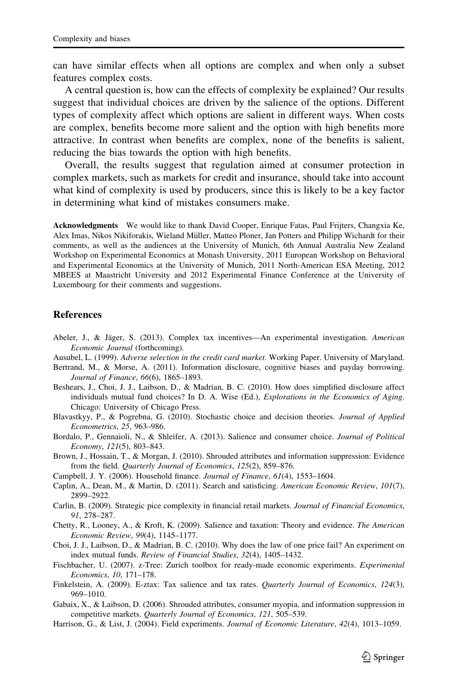<span id="page-18-0"></span>can have similar effects when all options are complex and when only a subset features complex costs.

A central question is, how can the effects of complexity be explained? Our results suggest that individual choices are driven by the salience of the options. Different types of complexity affect which options are salient in different ways. When costs are complex, benefits become more salient and the option with high benefits more attractive. In contrast when benefits are complex, none of the benefits is salient, reducing the bias towards the option with high benefits.

Overall, the results suggest that regulation aimed at consumer protection in complex markets, such as markets for credit and insurance, should take into account what kind of complexity is used by producers, since this is likely to be a key factor in determining what kind of mistakes consumers make.

Acknowledgments We would like to thank David Cooper, Enrique Fatas, Paul Frijters, Changxia Ke, Alex Imas, Nikos Nikiforakis, Wieland Müller, Matteo Ploner, Jan Potters and Philipp Wichardt for their comments, as well as the audiences at the University of Munich, 6th Annual Australia New Zealand Workshop on Experimental Economics at Monash University, 2011 European Workshop on Behavioral and Experimental Economics at the University of Munich, 2011 North-American ESA Meeting, 2012 MBEES at Maastricht University and 2012 Experimental Finance Conference at the University of Luxembourg for their comments and suggestions.

#### References

- Abeler, J., & Jäger, S. (2013). Complex tax incentives—An experimental investigation. American Economic Journal (forthcoming).
- Ausubel, L. (1999). Adverse selection in the credit card market. Working Paper. University of Maryland.
- Bertrand, M., & Morse, A. (2011). Information disclosure, cognitive biases and payday borrowing. Journal of Finance, 66(6), 1865–1893.
- Beshears, J., Choi, J. J., Laibson, D., & Madrian, B. C. (2010). How does simplified disclosure affect individuals mutual fund choices? In D. A. Wise (Ed.), *Explorations in the Economics of Aging*. Chicago: University of Chicago Press.
- Blavastkyy, P., & Pogrebna, G. (2010). Stochastic choice and decision theories. Journal of Applied Econometrics, 25, 963–986.
- Bordalo, P., Gennaioli, N., & Shleifer, A. (2013). Salience and consumer choice. Journal of Political Economy, 121(5), 803–843.
- Brown, J., Hossain, T., & Morgan, J. (2010). Shrouded attributes and information suppression: Evidence from the field. Quarterly Journal of Economics, 125(2), 859–876.
- Campbell, J. Y. (2006). Household finance. Journal of Finance, 61(4), 1553–1604.
- Caplin, A., Dean, M., & Martin, D. (2011). Search and satisficing. American Economic Review, 101(7), 2899–2922.
- Carlin, B. (2009). Strategic pice complexity in financial retail markets. Journal of Financial Economics, 91, 278–287.
- Chetty, R., Looney, A., & Kroft, K. (2009). Salience and taxation: Theory and evidence. The American Economic Review, 99(4), 1145–1177.
- Choi, J. J., Laibson, D., & Madrian, B. C. (2010). Why does the law of one price fail? An experiment on index mutual funds. Review of Financial Studies, 32(4), 1405–1432.
- Fischbacher, U. (2007). z-Tree: Zurich toolbox for ready-made economic experiments. Experimental Economics, 10, 171–178.
- Finkelstein, A. (2009). E-ztax: Tax salience and tax rates. Quarterly Journal of Economics, 124(3), 969–1010.
- Gabaix, X., & Laibson, D. (2006). Shrouded attributes, consumer myopia, and information suppression in competitive markets. Quarterly Journal of Economics, 121, 505–539.
- Harrison, G., & List, J. (2004). Field experiments. Journal of Economic Literature, 42(4), 1013–1059.